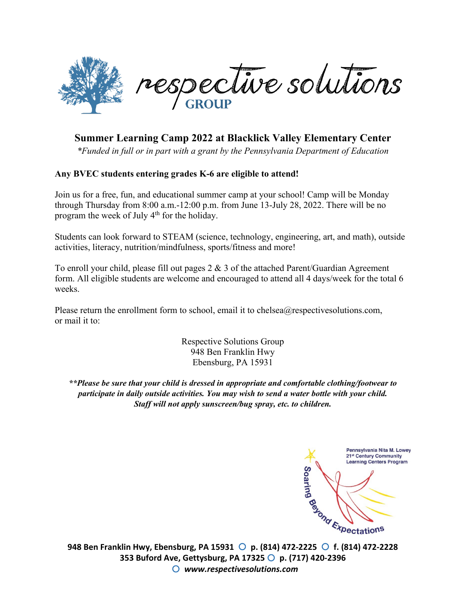

## **Summer Learning Camp 2022 at Blacklick Valley Elementary Center**

*\*Funded in full or in part with a grant by the Pennsylvania Department of Education*

#### **Any BVEC students entering grades K-6 are eligible to attend!**

Join us for a free, fun, and educational summer camp at your school! Camp will be Monday through Thursday from 8:00 a.m.-12:00 p.m. from June 13-July 28, 2022. There will be no program the week of July  $4<sup>th</sup>$  for the holiday.

Students can look forward to STEAM (science, technology, engineering, art, and math), outside activities, literacy, nutrition/mindfulness, sports/fitness and more!

To enroll your child, please fill out pages  $2 \& 3$  of the attached Parent/Guardian Agreement form. All eligible students are welcome and encouraged to attend all 4 days/week for the total 6 weeks.

Please return the enrollment form to school, email it to chelsea@respectivesolutions.com, or mail it to:

> Respective Solutions Group 948 Ben Franklin Hwy Ebensburg, PA 15931

*\*\*Please be sure that your child is dressed in appropriate and comfortable clothing/footwear to participate in daily outside activities. You may wish to send a water bottle with your child. Staff will not apply sunscreen/bug spray, etc. to children.*

Pennsylvania Nita M. Lowey 21st Century Community **Learning Centers Program Soaring 948 Ben Franklin Hwy, Ebensburg, PA 15931 p. (814) 472-2225 f. (814) 472-2228** 

**353 Buford Ave, Gettysburg, PA 17325 p. (717) 420-2396** *www.respectivesolutions.com*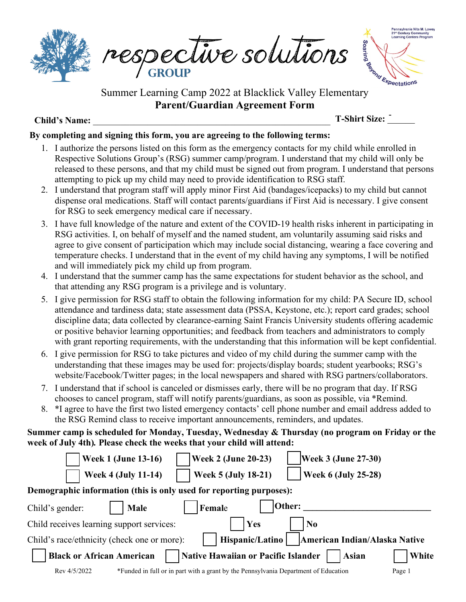

PESDECUVE SUUWWWW respective solutions



**Parent/Guardian Agreement Form** 

### **Child's Name:** \_\_\_\_\_\_\_\_\_\_\_\_\_\_\_\_\_\_\_\_\_\_\_\_\_\_\_\_\_\_\_\_\_\_\_\_\_\_\_\_\_\_\_\_\_\_\_\_\_\_\_\_

**T-Shirt Size:** \_\_\_\_\_\_ -

#### **By completing and signing this form, you are agreeing to the following terms:**

- 1. I authorize the persons listed on this form as the emergency contacts for my child while enrolled in Respective Solutions Group's (RSG) summer camp/program. I understand that my child will only be released to these persons, and that my child must be signed out from program. I understand that persons attempting to pick up my child may need to provide identification to RSG staff.
- 2. I understand that program staff will apply minor First Aid (bandages/icepacks) to my child but cannot dispense oral medications. Staff will contact parents/guardians if First Aid is necessary. I give consent for RSG to seek emergency medical care if necessary.
- 3. I have full knowledge of the nature and extent of the COVID-19 health risks inherent in participating in RSG activities. I, on behalf of myself and the named student, am voluntarily assuming said risks and agree to give consent of participation which may include social distancing, wearing a face covering and temperature checks. I understand that in the event of my child having any symptoms, I will be notified and will immediately pick my child up from program.
- 4. I understand that the summer camp has the same expectations for student behavior as the school, and that attending any RSG program is a privilege and is voluntary.
- 5. I give permission for RSG staff to obtain the following information for my child: PA Secure ID, school attendance and tardiness data; state assessment data (PSSA, Keystone, etc.); report card grades; school discipline data; data collected by clearance-earning Saint Francis University students offering academic or positive behavior learning opportunities; and feedback from teachers and administrators to comply with grant reporting requirements, with the understanding that this information will be kept confidential.
- 6. I give permission for RSG to take pictures and video of my child during the summer camp with the understanding that these images may be used for: projects/display boards; student yearbooks; RSG's website/Facebook/Twitter pages; in the local newspapers and shared with RSG partners/collaborators.
- 7. I understand that if school is canceled or dismisses early, there will be no program that day. If RSG chooses to cancel program, staff will notify parents/guardians, as soon as possible, via \*Remind.
- 8. \*I agree to have the first two listed emergency contacts' cell phone number and email address added to the RSG Remind class to receive important announcements, reminders, and updates.

#### **Summer camp is scheduled for Monday, Tuesday, Wednesday & Thursday (no program on Friday or the week of July 4th)***.* **Please check the weeks that your child will attend:**

| <b>Week 1 (June 13-16)</b>                                          |                                                                                     | <b>Week 2 (June 20-23)</b>          | <b>Week 3 (June 27-30)</b> |                               |  |  |
|---------------------------------------------------------------------|-------------------------------------------------------------------------------------|-------------------------------------|----------------------------|-------------------------------|--|--|
| <b>Week 4 (July 11-14)</b>                                          |                                                                                     | <b>Week 5 (July 18-21)</b>          | <b>Week 6 (July 25-28)</b> |                               |  |  |
| Demographic information (this is only used for reporting purposes): |                                                                                     |                                     |                            |                               |  |  |
| Child's gender:                                                     | Male                                                                                | Female                              | Other:                     |                               |  |  |
| Child receives learning support services:                           |                                                                                     | Yes                                 | N <sub>0</sub>             |                               |  |  |
| Child's race/ethnicity (check one or more):                         |                                                                                     | Hispanic/Latino                     |                            | American Indian/Alaska Native |  |  |
| <b>Black or African American</b>                                    |                                                                                     | Native Hawaiian or Pacific Islander |                            | White<br><b>Asian</b>         |  |  |
| Rev 4/5/2022                                                        | *Funded in full or in part with a grant by the Pennsylvania Department of Education |                                     |                            | Page 1                        |  |  |